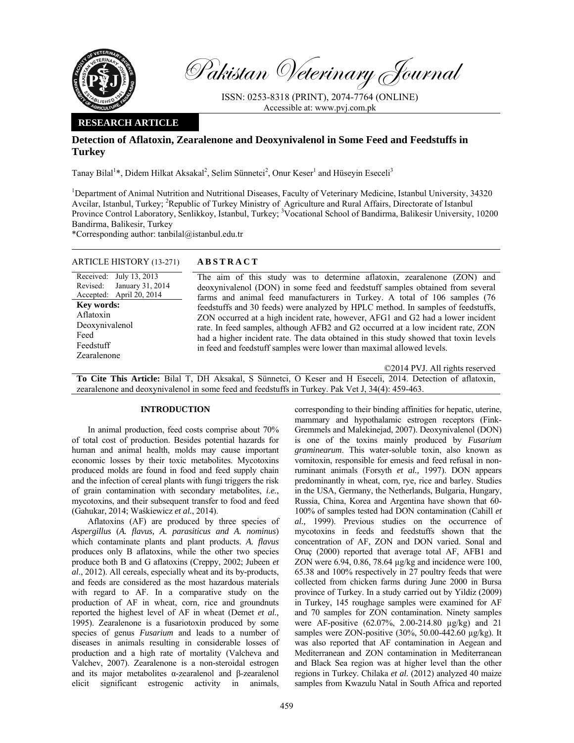

Pakistan Veterinary Journal

ISSN: 0253-8318 (PRINT), 2074-7764 (ONLINE) Accessible at: www.pvj.com.pk

## **RESEARCH ARTICLE**

# **Detection of Aflatoxin, Zearalenone and Deoxynivalenol in Some Feed and Feedstuffs in Turkey**

Tanay Bilal<sup>1</sup>\*, Didem Hilkat Aksakal<sup>2</sup>, Selim Sünnetci<sup>2</sup>, Onur Keser<sup>1</sup> and Hüseyin Eseceli<sup>3</sup>

<sup>1</sup>Department of Animal Nutrition and Nutritional Diseases, Faculty of Veterinary Medicine, Istanbul University, 34320 Avcilar, Istanbul, Turkey; <sup>2</sup>Republic of Turkey Ministry of Agriculture and Rural Affairs, Directorate of Istanbul Province Control Laboratory, Senlikkoy, Istanbul, Turkey; <sup>3</sup>Vocational School of Bandirma, Balikesir University, 10200 Bandirma, Balikesir, Turkey

\*Corresponding author: tanbilal@istanbul.edu.tr

ARTICLE HISTORY (13-271) **ABSTRACT** 

| $ATIULLIIIIJIURI (13-2/1)$                                                                                                                                                  | ADJINACI                                                                                                                                                                                                                                                                                                                                                                                                                                                                                                                                                                                                                                                                                            |
|-----------------------------------------------------------------------------------------------------------------------------------------------------------------------------|-----------------------------------------------------------------------------------------------------------------------------------------------------------------------------------------------------------------------------------------------------------------------------------------------------------------------------------------------------------------------------------------------------------------------------------------------------------------------------------------------------------------------------------------------------------------------------------------------------------------------------------------------------------------------------------------------------|
| Received: July 13, 2013<br>January 31, 2014<br>Revised:<br>Accepted: April 20, 2014<br><b>Key words:</b><br>Aflatoxin<br>Deoxynivalenol<br>Feed<br>Feedstuff<br>Zearalenone | The aim of this study was to determine aflatoxin, zearalenone (ZON) and<br>deoxynivalenol (DON) in some feed and feedstuff samples obtained from several<br>farms and animal feed manufacturers in Turkey. A total of 106 samples (76<br>feedstuffs and 30 feeds) were analyzed by HPLC method. In samples of feedstuffs,<br>ZON occurred at a high incident rate, however, AFG1 and G2 had a lower incident<br>rate. In feed samples, although AFB2 and G2 occurred at a low incident rate, ZON<br>had a higher incident rate. The data obtained in this study showed that toxin levels<br>in feed and feedstuff samples were lower than maximal allowed levels.<br>©2014 PVJ. All rights reserved |
|                                                                                                                                                                             | $5.11 \text{ m}$ $5.11 \text{ m}$ $1.1 \text{ m}$ $1.2 \text{ m}$<br>$\mathbf{r}$ and $\mathbf{r}$ . The $\mathbf{r}$<br>1.77.7                                                                                                                                                                                                                                                                                                                                                                                                                                                                                                                                                                     |

**To Cite This Article:** Bilal T, DH Aksakal, S Sünnetci, O Keser and H Eseceli, 2014. Detection of aflatoxin, zearalenone and deoxynivalenol in some feed and feedstuffs in Turkey. Pak Vet J, 34(4): 459-463.

## **INTRODUCTION**

In animal production, feed costs comprise about 70% of total cost of production. Besides potential hazards for human and animal health, molds may cause important economic losses by their toxic metabolites. Mycotoxins produced molds are found in food and feed supply chain and the infection of cereal plants with fungi triggers the risk of grain contamination with secondary metabolites, *i.e.*, mycotoxins, and their subsequent transfer to food and feed (Gahukar, 2014; Waśkiewicz *et al.*, 2014).

Aflatoxins (AF) are produced by three species of *Aspergillus* (*A. flavus, A. parasiticus and A. nominus*) which contaminate plants and plant products. *A. flavus* produces only B aflatoxins, while the other two species produce both B and G aflatoxins (Creppy, 2002; Jubeen *et al*., 2012). All cereals, especially wheat and its by-products, and feeds are considered as the most hazardous materials with regard to AF. In a comparative study on the production of AF in wheat, corn, rice and groundnuts reported the highest level of AF in wheat (Demet *et al.,* 1995). Zearalenone is a fusariotoxin produced by some species of genus *Fusarium* and leads to a number of diseases in animals resulting in considerable losses of production and a high rate of mortality (Valcheva and Valchev, 2007). Zearalenone is a non-steroidal estrogen and its major metabolites α-zearalenol and β-zearalenol elicit significant estrogenic activity in animals,

corresponding to their binding affinities for hepatic, uterine, mammary and hypothalamic estrogen receptors (Fink-Gremmels and Malekinejad, 2007). Deoxynivalenol (DON) is one of the toxins mainly produced by *Fusarium graminearum*. This water-soluble toxin, also known as vomitoxin, responsible for emesis and feed refusal in nonruminant animals (Forsyth *et al.,* 1997). DON appears predominantly in wheat, corn, rye, rice and barley. Studies in the USA, Germany, the Netherlands, Bulgaria, Hungary, Russia, China, Korea and Argentina have shown that 60- 100% of samples tested had DON contamination (Cahill *et al.,* 1999). Previous studies on the occurrence of mycotoxins in feeds and feedstuffs shown that the concentration of AF, ZON and DON varied. Sonal and Oruç (2000) reported that average total AF, AFB1 and ZON were 6.94, 0.86, 78.64 µg/kg and incidence were 100, 65.38 and 100% respectively in 27 poultry feeds that were collected from chicken farms during June 2000 in Bursa province of Turkey. In a study carried out by Yildiz (2009) in Turkey, 145 roughage samples were examined for AF and 70 samples for ZON contamination. Ninety samples were AF-positive (62.07%, 2.00-214.80 µg/kg) and 21 samples were ZON-positive (30%, 50.00-442.60 µg/kg). It was also reported that AF contamination in Aegean and Mediterranean and ZON contamination in Mediterranean and Black Sea region was at higher level than the other regions in Turkey. Chilaka *et al.* (2012) analyzed 40 maize samples from Kwazulu Natal in South Africa and reported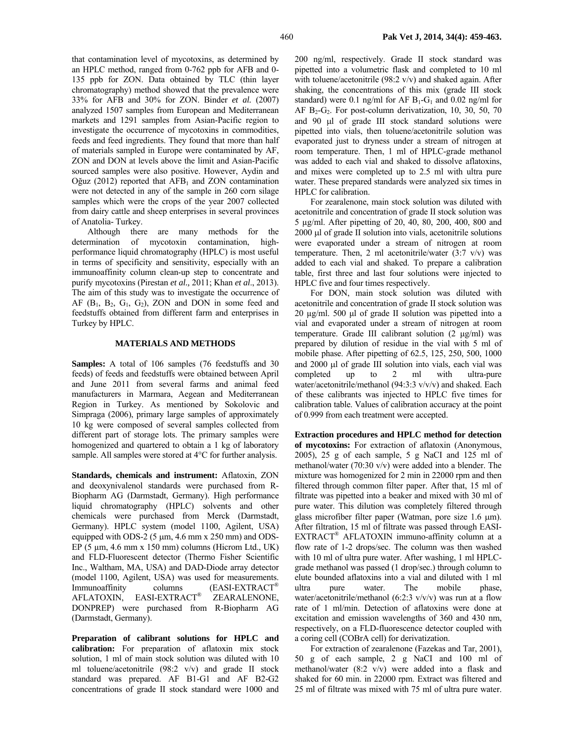that contamination level of mycotoxins, as determined by an HPLC method, ranged from 0-762 ppb for AFB and 0- 135 ppb for ZON. Data obtained by TLC (thin layer chromatography) method showed that the prevalence were 33% for AFB and 30% for ZON. Binder *et al.* (2007) analyzed 1507 samples from European and Mediterranean markets and 1291 samples from Asian-Pacific region to investigate the occurrence of mycotoxins in commodities, feeds and feed ingredients. They found that more than half of materials sampled in Europe were contaminated by AF, ZON and DON at levels above the limit and Asian-Pacific sourced samples were also positive. However, Aydin and Oğuz (2012) reported that  $AFB<sub>1</sub>$  and ZON contamination were not detected in any of the sample in 260 corn silage samples which were the crops of the year 2007 collected from dairy cattle and sheep enterprises in several provinces of Anatolia- Turkey.

Although there are many methods for the determination of mycotoxin contamination, highperformance liquid chromatography (HPLC) is most useful in terms of specificity and sensitivity, especially with an immunoaffinity column clean-up step to concentrate and purify mycotoxins (Pirestan *et al.,* 2011; Khan *et al*., 2013). The aim of this study was to investigate the occurrence of AF  $(B_1, B_2, G_1, G_2)$ , ZON and DON in some feed and feedstuffs obtained from different farm and enterprises in Turkey by HPLC.

## **MATERIALS AND METHODS**

**Samples:** A total of 106 samples (76 feedstuffs and 30 feeds) of feeds and feedstuffs were obtained between April and June 2011 from several farms and animal feed manufacturers in Marmara, Aegean and Mediterranean Region in Turkey. As mentioned by Sokolovic and Simpraga (2006), primary large samples of approximately 10 kg were composed of several samples collected from different part of storage lots. The primary samples were homogenized and quartered to obtain a 1 kg of laboratory sample. All samples were stored at 4°C for further analysis.

**Standards, chemicals and instrument:** Aflatoxin, ZON and deoxynivalenol standards were purchased from R-Biopharm AG (Darmstadt, Germany). High performance liquid chromatography (HPLC) solvents and other chemicals were purchased from Merck (Darmstadt, Germany). HPLC system (model 1100, Agilent, USA) equipped with ODS-2 (5  $\mu$ m, 4.6 mm x 250 mm) and ODS-EP  $(5 \mu m, 4.6 \text{ mm} \times 150 \text{ mm})$  columns (Hicrom Ltd., UK) and FLD-Fluorescent detector (Thermo Fisher Scientific Inc., Waltham, MA, USA) and DAD-Diode array detector (model 1100, Agilent, USA) was used for measurements. Immunoaffinity columns (EASI-EXTRACT® AFLATOXIN, EASI-EXTRACT® ZEARALENONE, DONPREP) were purchased from R-Biopharm AG (Darmstadt, Germany).

**Preparation of calibrant solutions for HPLC and calibration:** For preparation of aflatoxin mix stock solution, 1 ml of main stock solution was diluted with 10 ml toluene/acetonitrile (98:2 v/v) and grade II stock standard was prepared. AF B1-G1 and AF B2-G2 concentrations of grade II stock standard were 1000 and

200 ng/ml, respectively. Grade II stock standard was pipetted into a volumetric flask and completed to 10 ml with toluene/acetonitrile  $(98:2 \text{ v/v})$  and shaked again. After shaking, the concentrations of this mix (grade III stock standard) were 0.1 ng/ml for AF  $B_1-G_1$  and 0.02 ng/ml for AF  $B_2-G_2$ . For post-column derivatization, 10, 30, 50, 70 and 90 µl of grade III stock standard solutions were pipetted into vials, then toluene/acetonitrile solution was evaporated just to dryness under a stream of nitrogen at room temperature. Then, 1 ml of HPLC-grade methanol was added to each vial and shaked to dissolve aflatoxins, and mixes were completed up to 2.5 ml with ultra pure water. These prepared standards were analyzed six times in HPLC for calibration.

For zearalenone, main stock solution was diluted with acetonitrile and concentration of grade II stock solution was 5 µg/ml. After pipetting of 20, 40, 80, 200, 400, 800 and 2000 µl of grade II solution into vials, acetonitrile solutions were evaporated under a stream of nitrogen at room temperature. Then, 2 ml acetonitrile/water  $(3:7 \text{ v/v})$  was added to each vial and shaked. To prepare a calibration table, first three and last four solutions were injected to HPLC five and four times respectively.

For DON, main stock solution was diluted with acetonitrile and concentration of grade II stock solution was 20 µg/ml. 500 µl of grade II solution was pipetted into a vial and evaporated under a stream of nitrogen at room temperature. Grade III calibrant solution (2 µg/ml) was prepared by dilution of residue in the vial with 5 ml of mobile phase. After pipetting of 62.5, 125, 250, 500, 1000 and 2000 µl of grade III solution into vials, each vial was completed up to 2 ml with ultra-pure water/acetonitrile/methanol (94:3:3 v/v/v) and shaked. Each of these calibrants was injected to HPLC five times for calibration table. Values of calibration accuracy at the point of 0.999 from each treatment were accepted.

**Extraction procedures and HPLC method for detection of mycotoxins:** For extraction of aflatoxin (Anonymous, 2005), 25 g of each sample, 5 g NaCI and 125 ml of methanol/water (70:30 v/v) were added into a blender. The mixture was homogenized for 2 min in 22000 rpm and then filtered through common filter paper. After that, 15 ml of filtrate was pipetted into a beaker and mixed with 30 ml of pure water. This dilution was completely filtered through glass microfiber filter paper (Watman, pore size 1.6 µm). After filtration, 15 ml of filtrate was passed through EASI-EXTRACT® AFLATOXIN immuno-affinity column at a flow rate of 1-2 drops/sec. The column was then washed with 10 ml of ultra pure water. After washing, 1 ml HPLCgrade methanol was passed (1 drop/sec.) through column to elute bounded aflatoxins into a vial and diluted with 1 ml ultra pure water. The mobile phase, water/acetonitrile/methanol (6:2:3 v/v/v) was run at a flow rate of 1 ml/min. Detection of aflatoxins were done at excitation and emission wavelengths of 360 and 430 nm, respectively, on a FLD-fluorescence detector coupled with a coring cell (COBrA cell) for derivatization.

For extraction of zearalenone (Fazekas and Tar, 2001), 50 g of each sample, 2 g NaCI and 100 ml of methanol/water (8:2 v/v) were added into a flask and shaked for 60 min. in 22000 rpm. Extract was filtered and 25 ml of filtrate was mixed with 75 ml of ultra pure water.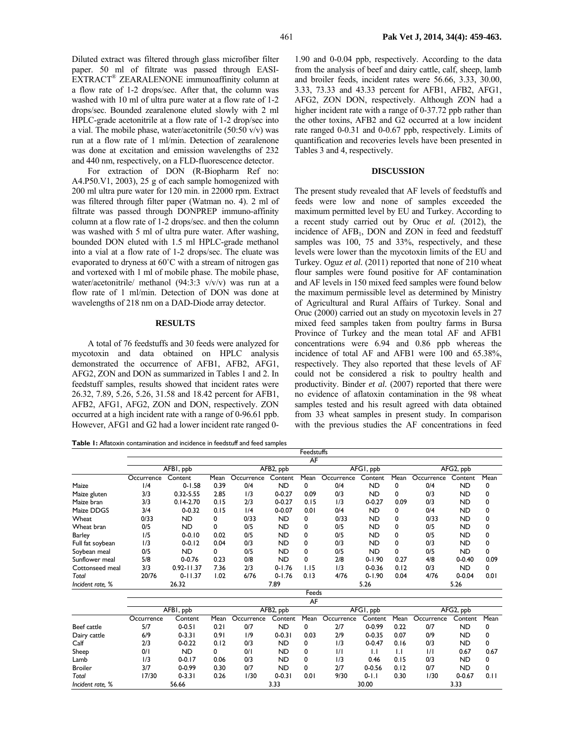Diluted extract was filtered through glass microfiber filter paper. 50 ml of filtrate was passed through EASI-EXTRACT® ZEARALENONE immunoaffinity column at a flow rate of 1-2 drops/sec. After that, the column was washed with 10 ml of ultra pure water at a flow rate of 1-2 drops/sec. Bounded zearalenone eluted slowly with 2 ml HPLC-grade acetonitrile at a flow rate of 1-2 drop/sec into a vial. The mobile phase, water/acetonitrile (50:50 v/v) was run at a flow rate of 1 ml/min. Detection of zearalenone was done at excitation and emission wavelengths of 232 and 440 nm, respectively, on a FLD-fluorescence detector.

For extraction of DON (R-Biopharm Ref no: A4.P50.V1, 2003), 25 g of each sample homogenized with 200 ml ultra pure water for 120 min. in 22000 rpm. Extract was filtered through filter paper (Watman no. 4). 2 ml of filtrate was passed through DONPREP immuno-affinity column at a flow rate of 1-2 drops/sec. and then the column was washed with 5 ml of ultra pure water. After washing, bounded DON eluted with 1.5 ml HPLC-grade methanol into a vial at a flow rate of 1-2 drops/sec. The eluate was evaporated to dryness at 60˚C with a stream of nitrogen gas and vortexed with 1 ml of mobile phase. The mobile phase, water/acetonitrile/ methanol (94:3:3 v/v/v) was run at a flow rate of 1 ml/min. Detection of DON was done at wavelengths of 218 nm on a DAD-Diode array detector.

#### **RESULTS**

A total of 76 feedstuffs and 30 feeds were analyzed for mycotoxin and data obtained on HPLC analysis demonstrated the occurrence of AFB1, AFB2, AFG1, AFG2, ZON and DON as summarized in Tables 1 and 2. In feedstuff samples, results showed that incident rates were 26.32, 7.89, 5.26, 5.26, 31.58 and 18.42 percent for AFB1, AFB2, AFG1, AFG2, ZON and DON, respectively. ZON occurred at a high incident rate with a range of 0-96.61 ppb. However, AFG1 and G2 had a lower incident rate ranged 0-

**Table 1:** Aflatoxin contamination and incidence in feedstuff and feed samples

1.90 and 0-0.04 ppb, respectively. According to the data from the analysis of beef and dairy cattle, calf, sheep, lamb and broiler feeds, incident rates were 56.66, 3.33, 30.00, 3.33, 73.33 and 43.33 percent for AFB1, AFB2, AFG1, AFG2, ZON DON, respectively. Although ZON had a higher incident rate with a range of 0-37.72 ppb rather than the other toxins, AFB2 and G2 occurred at a low incident rate ranged 0-0.31 and 0-0.67 ppb, respectively. Limits of quantification and recoveries levels have been presented in Tables 3 and 4, respectively.

#### **DISCUSSION**

The present study revealed that AF levels of feedstuffs and feeds were low and none of samples exceeded the maximum permitted level by EU and Turkey. According to a recent study carried out by Oruc *et al.* (2012), the incidence of AFB<sub>1</sub>, DON and ZON in feed and feedstuff samples was 100, 75 and 33%, respectively, and these levels were lower than the mycotoxin limits of the EU and Turkey. Oguz *et al.* (2011) reported that none of 210 wheat flour samples were found positive for AF contamination and AF levels in 150 mixed feed samples were found below the maximum permissible level as determined by Ministry of Agricultural and Rural Affairs of Turkey. Sonal and Oruc (2000) carried out an study on mycotoxin levels in 27 mixed feed samples taken from poultry farms in Bursa Province of Turkey and the mean total AF and AFB1 concentrations were 6.94 and 0.86 ppb whereas the incidence of total AF and AFB1 were 100 and 65.38%, respectively. They also reported that these levels of AF could not be considered a risk to poultry health and productivity. Binder *et al.* (2007) reported that there were no evidence of aflatoxin contamination in the 98 wheat samples tested and his result agreed with data obtained from 33 wheat samples in present study. In comparison with the previous studies the AF concentrations in feed

|                  | Feedstuffs |                |      |                        |            |           |               |              |              |               |            |      |
|------------------|------------|----------------|------|------------------------|------------|-----------|---------------|--------------|--------------|---------------|------------|------|
|                  | AF         |                |      |                        |            |           |               |              |              |               |            |      |
|                  | AFBI, ppb  |                |      | AFB2, ppb              |            |           | AFGI, ppb     |              |              | AFG2, ppb     |            |      |
|                  | Occurrence | Content        | Mean | Occurrence             | Content    | Mean      | Occurrence    | Content      | Mean         | Occurrence    | Content    | Mean |
| Maize            | 1/4        | $0 - 1.58$     | 0.39 | 0/4                    | <b>ND</b>  | 0         | 0/4           | <b>ND</b>    | 0            | 0/4           | <b>ND</b>  | 0    |
| Maize gluten     | 3/3        | $0.32 - 5.55$  | 2.85 | 1/3                    | $0 - 0.27$ | 0.09      | 0/3           | <b>ND</b>    | 0            | 0/3           | <b>ND</b>  | 0    |
| Maize bran       | 3/3        | $0.14 - 2.70$  | 0.15 | 2/3                    | $0 - 0.27$ | 0.15      | 1/3           | $0 - 0.27$   | 0.09         | 0/3           | <b>ND</b>  | 0    |
| Maize DDGS       | 3/4        | $0 - 0.32$     | 0.15 | 1/4                    | $0 - 0.07$ | 0.01      | 0/4           | <b>ND</b>    | 0            | 0/4           | <b>ND</b>  | 0    |
| Wheat            | 0/33       | <b>ND</b>      | 0    | 0/33                   | <b>ND</b>  | 0         | 0/33          | <b>ND</b>    | 0            | 0/33          | <b>ND</b>  | 0    |
| Wheat bran       | 0/5        | <b>ND</b>      | 0    | 0/5                    | <b>ND</b>  | 0         | 0/5           | <b>ND</b>    | 0            | 0/5           | <b>ND</b>  | 0    |
| Barley           | 1/5        | $0 - 0.10$     | 0.02 | 0/5                    | <b>ND</b>  | 0         | 0/5           | <b>ND</b>    | 0            | 0/5           | <b>ND</b>  | 0    |
| Full fat soybean | 1/3        | $0 - 0.12$     | 0.04 | 0/3                    | <b>ND</b>  | 0         | 0/3           | <b>ND</b>    | 0            | 0/3           | <b>ND</b>  | 0    |
| Soybean meal     | 0/5        | <b>ND</b>      | 0    | 0/5                    | <b>ND</b>  | 0         | 0/5           | <b>ND</b>    | 0            | 0/5           | <b>ND</b>  | 0    |
| Sunflower meal   | 5/8        | $0 - 0.76$     | 0.23 | 0/8                    | <b>ND</b>  | 0         | 2/8           | $0 - 1.90$   | 0.27         | 4/8           | $0 - 0.40$ | 0.09 |
| Cottonseed meal  | 3/3        | $0.92 - 11.37$ | 7.36 | 2/3                    | $0 - 1.76$ | 1.15      | 1/3           | $0 - 0.36$   | 0.12         | 0/3           | <b>ND</b>  | 0    |
| Total            | 20/76      | $0 - 11.37$    | 1.02 | 6/76                   | $0 - 1.76$ | 0.13      | 4/76          | $0 - 1.90$   | 0.04         | 4/76          | $0 - 0.04$ | 0.01 |
| Incident rate, % | 26.32      |                |      | 7.89                   |            |           | 5.26          |              |              | 5.26          |            |      |
|                  |            |                |      | Feeds                  |            |           |               |              |              |               |            |      |
|                  |            |                |      | AF                     |            |           |               |              |              |               |            |      |
|                  | AFBI, ppb  |                |      | AFB <sub>2</sub> , ppb |            | AFGI, ppb |               | AFG2, ppb    |              |               |            |      |
|                  | Occurrence | Content        | Mean | Occurrence             | Content    | Mean      | Occurrence    | Content      | Mean         | Occurrence    | Content    | Mean |
| Beef cattle      | 5/7        | $0 - 0.51$     | 0.21 | 0/7                    | <b>ND</b>  | 0         | 2/7           | $0 - 0.99$   | 0.22         | 0/7           | <b>ND</b>  | 0    |
| Dairy cattle     | 6/9        | $0 - 3.31$     | 0.91 | 1/9                    | $0 - 0.31$ | 0.03      | 2/9           | $0 - 0.35$   | 0.07         | 0/9           | <b>ND</b>  | 0    |
| Calf             | 2/3        | $0 - 0.22$     | 0.12 | 0/3                    | <b>ND</b>  | 0         | 1/3           | $0 - 0.47$   | 0.16         | 0/3           | <b>ND</b>  | 0    |
| Sheep            | 0/1        | <b>ND</b>      | 0    | 0/1                    | <b>ND</b>  | 0         | $\frac{1}{1}$ | $\mathsf{L}$ | $\mathsf{L}$ | $\frac{1}{1}$ | 0.67       | 0.67 |
| Lamb             | 1/3        | $0 - 0.17$     | 0.06 | 0/3                    | <b>ND</b>  | 0         | 1/3           | 0.46         | 0.15         | 0/3           | <b>ND</b>  | 0    |
| <b>Broiler</b>   | 3/7        | $0 - 0.99$     | 0.30 | 0/7                    | <b>ND</b>  | 0         | 2/7           | $0 - 0.56$   | 0.12         | 0/7           | <b>ND</b>  | 0    |
| Total            | 17/30      | $0 - 3.31$     | 0.26 | 1/30                   | $0 - 0.31$ | 0.01      | 9/30          | $0 - 1.1$    | 0.30         | 1/30          | $0 - 0.67$ | 0.11 |
| Incident rate, % | 56.66      |                |      | 3.33                   |            | 30.00     |               |              | 3.33         |               |            |      |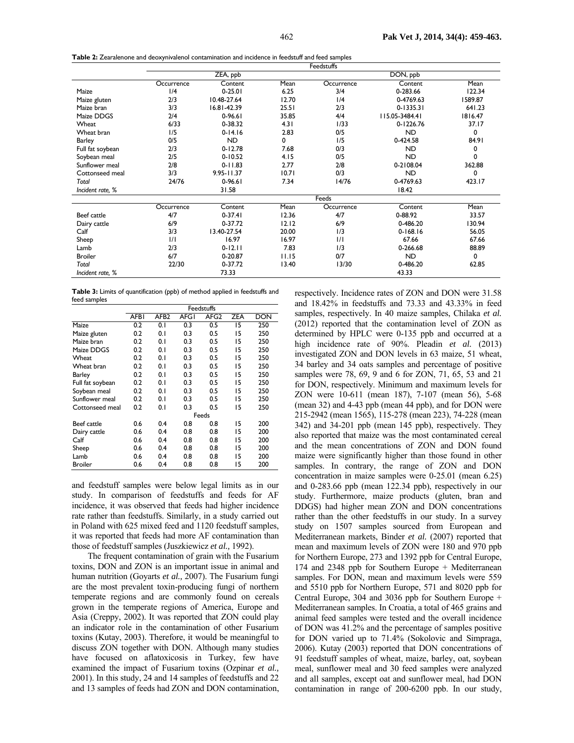| Table 2: Zearalenone and deoxynivalenol contamination and incidence in feedstuff and feed samples |  |  |
|---------------------------------------------------------------------------------------------------|--|--|
|---------------------------------------------------------------------------------------------------|--|--|

|                  | <b>Feedstuffs</b> |                 |       |            |                |         |  |  |  |
|------------------|-------------------|-----------------|-------|------------|----------------|---------|--|--|--|
|                  |                   | ZEA, ppb        |       |            | DON, ppb       |         |  |  |  |
|                  | Occurrence        | Content         | Mean  | Occurrence | Content        | Mean    |  |  |  |
| Maize            | 1/4               | $0 - 25.01$     | 6.25  | 3/4        | 0-283.66       | 122.34  |  |  |  |
| Maize gluten     | 2/3               | 10.48-27.64     | 12.70 | 1/4        | 0-4769.63      | 1589.87 |  |  |  |
| Maize bran       | 3/3               | $16.81 - 42.39$ | 25.51 | 2/3        | $0 - 1335.31$  | 641.23  |  |  |  |
| Maize DDGS       | 2/4               | $0-96.61$       | 35.85 | 4/4        | 115.05-3484.41 | 1816.47 |  |  |  |
| Wheat            | 6/33              | 0-38.32         | 4.31  | 1/33       | 0-1226.76      | 37.17   |  |  |  |
| Wheat bran       | 1/5               | $0 - 14.16$     | 2.83  | 0/5        | <b>ND</b>      | 0       |  |  |  |
| <b>Barley</b>    | 0/5               | <b>ND</b>       | 0     | 1/5        | 0-424.58       | 84.91   |  |  |  |
| Full fat soybean | 2/3               | $0 - 12.78$     | 7.68  | 0/3        | ND.            | 0       |  |  |  |
| Soybean meal     | 2/5               | $0 - 10.52$     | 4.15  | 0/5        | <b>ND</b>      | 0       |  |  |  |
| Sunflower meal   | 2/8               | $0 - 11.83$     | 2.77  | 2/8        | 0-2108.04      | 362.88  |  |  |  |
| Cottonseed meal  | 3/3               | $9.95 - 11.37$  | 10.71 | 0/3        | <b>ND</b>      | 0       |  |  |  |
| Total            | 24/76             | $0-96.61$       | 7.34  | 14/76      | 0-4769.63      | 423.17  |  |  |  |
| Incident rate, % |                   | 31.58           |       |            | 18.42          |         |  |  |  |
|                  |                   |                 |       | Feeds      |                |         |  |  |  |
|                  | Occurrence        | Content         | Mean  | Occurrence | Content        | Mean    |  |  |  |
| Beef cattle      | 4/7               | $0 - 37.41$     | 12.36 | 4/7        | 0-88.92        | 33.57   |  |  |  |
| Dairy cattle     | 6/9               | 0-37.72         | 12.12 | 6/9        | 0-486.20       | 130.94  |  |  |  |
| Calf             | 3/3               | 13.40-27.54     | 20.00 | 1/3        | $0 - 168.16$   | 56.05   |  |  |  |
| Sheep            | 1/1               | 16.97           | 16.97 | 1/1        | 67.66          | 67.66   |  |  |  |
| Lamb             | 2/3               | $0 - 12.11$     | 7.83  | 1/3        | 0-266.68       | 88.89   |  |  |  |
| <b>Broiler</b>   | 6/7               | 0-20.87         | 11.15 | 0/7        | <b>ND</b>      | 0       |  |  |  |
| Total            | 22/30             | 0-37.72         | 13.40 | 13/30      | 0-486.20       | 62.85   |  |  |  |
| Incident rate, % |                   | 73.33           |       |            | 43.33          |         |  |  |  |

**Table 3:** Limits of quantification (ppb) of method applied in feedstuffs and feed samples

|                  | Feedstuffs  |                  |             |                  |            |            |  |  |
|------------------|-------------|------------------|-------------|------------------|------------|------------|--|--|
|                  | <b>AFBI</b> | AFB <sub>2</sub> | <b>AFGI</b> | AFG <sub>2</sub> | <b>ZEA</b> | <b>DON</b> |  |  |
| Maize            | 0.2         | 0.1              | 0.3         | 0.5              | 15         | 250        |  |  |
| Maize gluten     | 0.2         | 0. I             | 0.3         | 0.5              | 15         | 250        |  |  |
| Maize bran       | 0.2         | 0. I             | 0.3         | 0.5              | 15         | 250        |  |  |
| Maize DDGS       | 0.2         | 0. I             | 0.3         | 0.5              | 15         | 250        |  |  |
| Wheat            | 0.2         | 0.1              | 0.3         | 0.5              | 15         | 250        |  |  |
| Wheat bran       | 0.2         | 0.1              | 0.3         | 0.5              | 15         | 250        |  |  |
| <b>Barley</b>    | 0.2         | 0.1              | 0.3         | 0.5              | 15         | 250        |  |  |
| Full fat soybean | 0.2         | 0.1              | 0.3         | 0.5              | 15         | 250        |  |  |
| Soybean meal     | 0.2         | 0.1              | 0.3         | 0.5              | 15         | 250        |  |  |
| Sunflower meal   | 0.2         | 0.1              | 0.3         | 0.5              | 15         | 250        |  |  |
| Cottonseed meal  | 0.2         | 0. I             | 0.3         | 0.5              | 15         | 250        |  |  |
|                  | Feeds       |                  |             |                  |            |            |  |  |
| Beef cattle      | 0.6         | 0.4              | 0.8         | 0.8              | 15         | 200        |  |  |
| Dairy cattle     | 0.6         | 0.4              | 0.8         | 0.8              | 15         | 200        |  |  |
| Calf             | 0.6         | 0.4              | 0.8         | 0.8              | 15         | 200        |  |  |
| Sheep            | 0.6         | 0.4              | 0.8         | 0.8              | 15         | 200        |  |  |
| Lamb             | 0.6         | 0.4              | 0.8         | 0.8              | 15         | 200        |  |  |
| <b>Broiler</b>   | 0.6         | 0.4              | 0.8         | 0.8              | 15         | 200        |  |  |

and feedstuff samples were below legal limits as in our study. In comparison of feedstuffs and feeds for AF incidence, it was observed that feeds had higher incidence rate rather than feedstuffs. Similarly, in a study carried out in Poland with 625 mixed feed and 1120 feedstuff samples, it was reported that feeds had more AF contamination than those of feedstuff samples (Juszkiewicz *et al.,* 1992).

The frequent contamination of grain with the Fusarium toxins, DON and ZON is an important issue in animal and human nutrition (Goyarts *et al.,* 2007). The Fusarium fungi are the most prevalent toxin-producing fungi of northern temperate regions and are commonly found on cereals grown in the temperate regions of America, Europe and Asia (Creppy, 2002). It was reported that ZON could play an indicator role in the contamination of other Fusarium toxins (Kutay, 2003). Therefore, it would be meaningful to discuss ZON together with DON. Although many studies have focused on aflatoxicosis in Turkey, few have examined the impact of Fusarium toxins (Ozpinar *et al.,* 2001). In this study, 24 and 14 samples of feedstuffs and 22 and 13 samples of feeds had ZON and DON contamination, respectively. Incidence rates of ZON and DON were 31.58 and 18.42% in feedstuffs and 73.33 and 43.33% in feed samples, respectively. In 40 maize samples, Chilaka *et al.* (2012) reported that the contamination level of ZON as determined by HPLC were 0-135 ppb and occurred at a high incidence rate of 90%. Pleadin *et al.* (2013) investigated ZON and DON levels in 63 maize, 51 wheat, 34 barley and 34 oats samples and percentage of positive samples were 78, 69, 9 and 6 for ZON, 71, 65, 53 and 21 for DON, respectively. Minimum and maximum levels for ZON were 10-611 (mean 187), 7-107 (mean 56), 5-68 (mean 32) and 4-43 ppb (mean 44 ppb), and for DON were 215-2942 (mean 1565), 115-278 (mean 223), 74-228 (mean 342) and 34-201 ppb (mean 145 ppb), respectively. They also reported that maize was the most contaminated cereal and the mean concentrations of ZON and DON found maize were significantly higher than those found in other samples. In contrary, the range of ZON and DON concentration in maize samples were 0-25.01 (mean 6.25) and 0-283.66 ppb (mean 122.34 ppb), respectively in our study. Furthermore, maize products (gluten, bran and DDGS) had higher mean ZON and DON concentrations rather than the other feedstuffs in our study. In a survey study on 1507 samples sourced from European and Mediterranean markets, Binder *et al.* (2007) reported that mean and maximum levels of ZON were 180 and 970 ppb for Northern Europe, 273 and 1392 ppb for Central Europe, 174 and 2348 ppb for Southern Europe + Mediterranean samples. For DON, mean and maximum levels were 559 and 5510 ppb for Northern Europe, 571 and 8020 ppb for Central Europe, 304 and 3036 ppb for Southern Europe + Mediterranean samples. In Croatia, a total of 465 grains and animal feed samples were tested and the overall incidence of DON was 41.2% and the percentage of samples positive for DON varied up to 71.4% (Sokolovic and Simpraga, 2006). Kutay (2003) reported that DON concentrations of 91 feedstuff samples of wheat, maize, barley, oat, soybean meal, sunflower meal and 30 feed samples were analyzed and all samples, except oat and sunflower meal, had DON contamination in range of 200-6200 ppb. In our study,